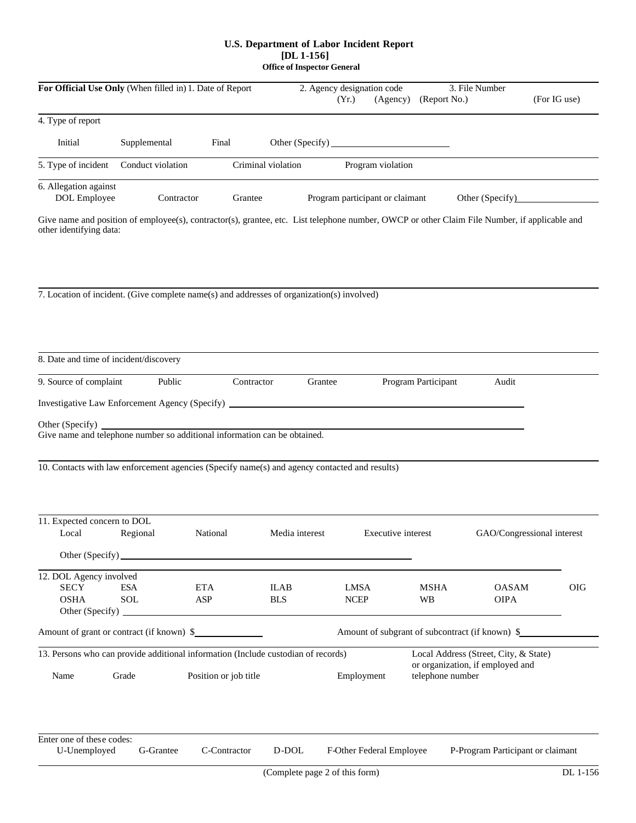## **U.S. Department of Labor Incident Report [DL 1-156] Office of Inspector General**

| For Official Use Only (When filled in) 1. Date of Report                       |                                                                                                                                                                            |                                                                        |                                | 2. Agency designation code<br>(Yr.)<br>(Agency) | (Report No.)          | 3. File Number                                  | (For IG use)                 |
|--------------------------------------------------------------------------------|----------------------------------------------------------------------------------------------------------------------------------------------------------------------------|------------------------------------------------------------------------|--------------------------------|-------------------------------------------------|-----------------------|-------------------------------------------------|------------------------------|
| 4. Type of report                                                              |                                                                                                                                                                            |                                                                        |                                |                                                 |                       |                                                 |                              |
| ð Initial                                                                      | ð Supplemental                                                                                                                                                             | ð Final                                                                |                                |                                                 |                       |                                                 |                              |
|                                                                                | 5. Type of incident $\delta$ Conduct violation                                                                                                                             |                                                                        | ð Criminal violation           | ð Program violation                             |                       |                                                 |                              |
| 6. Allegation against<br>ð DOL Employee                                        | $\delta$ Contractor                                                                                                                                                        | ð Grantee                                                              |                                | ð Program participant or claimant               |                       | ð Other (Specify)                               |                              |
| other identifying data:                                                        | Give name and position of employee(s), contractor(s), grantee, etc. List telephone number, OWCP or other Claim File Number, if applicable and                              |                                                                        |                                |                                                 |                       |                                                 |                              |
|                                                                                | 7. Location of incident. (Give complete name(s) and addresses of organization(s) involved)                                                                                 |                                                                        |                                |                                                 |                       |                                                 |                              |
|                                                                                | 8. Date and time of incident/discovery                                                                                                                                     |                                                                        |                                |                                                 |                       |                                                 |                              |
| 9. Source of complaint                                                         | ð Public                                                                                                                                                                   | ð Contractor                                                           | ð Grantee                      |                                                 | ð Program Participant | ð Audit                                         |                              |
|                                                                                | Investigative Law Enforcement Agency (Specify) _                                                                                                                           |                                                                        |                                |                                                 |                       |                                                 |                              |
| Other (Specify)                                                                | Give name and telephone number so additional information can be obtained.<br>10. Contacts with law enforcement agencies (Specify name(s) and agency contacted and results) |                                                                        |                                |                                                 |                       |                                                 |                              |
| 11. Expected concern to DOL<br>ð Local                                         | ð Regional                                                                                                                                                                 | ð National                                                             | ð Media interest               | <b><math>\delta</math></b> Executive interest   |                       |                                                 | ð GAO/Congressional interest |
|                                                                                | $\delta$ Other (Specify)                                                                                                                                                   |                                                                        |                                |                                                 |                       |                                                 |                              |
| 12. DOL Agency involved<br>ð SECY<br>ð OSHA<br>$\delta$ Other (Specify) $\Box$ | ð ESA<br>ð SOL                                                                                                                                                             | ð ETA<br>ð ASP<br><u> 1989 - Johann Stein, Amerikaansk politiker (</u> | ð ILAB<br>ð BLS                | ð LMSA<br>ð NCEP                                | ð MSHA<br>ð WB        | ð OASAM<br>ð OIPA                               | ð OIG                        |
|                                                                                | Amount of grant or contract (if known) \$                                                                                                                                  |                                                                        |                                |                                                 |                       | Amount of subgrant of subcontract (if known) \$ |                              |
|                                                                                | 13. Persons who can provide additional information (Include custodian of records)                                                                                          |                                                                        |                                |                                                 |                       | Local Address (Street, City, & State)           |                              |
| Name                                                                           | Grade                                                                                                                                                                      | Position or job title                                                  |                                | telephone number<br>Employment                  |                       | or organization, if employed and                |                              |
| Enter one of these codes:<br>U-Unemployed                                      | G-Grantee                                                                                                                                                                  | C-Contractor                                                           | D-DOL                          | F-Other Federal Employee                        |                       | P-Program Participant or claimant               |                              |
|                                                                                |                                                                                                                                                                            |                                                                        | (Complete page 2 of this form) |                                                 |                       |                                                 | DL 1-156                     |